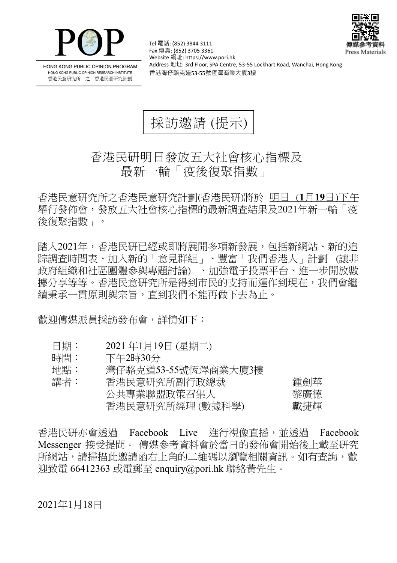



HONG KONG PUBLIC OPINION PROGRAM HONG KONG PUBLIC OPINION RESEARCH INSTITUTE 香港民意研究所 之 香港民意研究計劃

Tel 電話: (852) 3844 3111 Fax 傳真: (852) 3705 3361 Website 網址: https://www.pori.hk Address 地址: 3rd Floor, SPA Centre, 53-55 Lockhart Road, Wanchai, Hong Kong 香港灣仔駱克道53-55號恆澤商業大廈3樓



## 香港民研明日發放五大社會核心指標及 最新一輪「疫後復聚指數」

香 港 民 意 研 究 所 之 香 港 民 意 研 究 計 劃 (香 港 民 研)將 於 明日 (**1** 月**19** 日)下午 舉行發佈會,發放五大社會核心指標的最新調查結果及2021年新一輪「疫 後復聚指數」。

踏入2021年,香港民研已經或即將展開多項新發展,包括新網站、新的追 踪調查時間表、加入新的「意見群組」、豐富「我們香港人」計劃(讓非 政府組織和社區團體參與專題討論)、加強電子投票平台、進一步開放數 據分享等等。香港民意研究所是得到市民的支持而運作到現在,我們會繼 續秉承一貫原則與宗旨,直到我們不能再做下去為止。

歡 鸿 傳 媒 派 員 採 訪 發 布 會 , 詳 情 如 下 :

- 日期: 2021年1月19日 (星期二)
- 時間: 下午2時30分
- 地點: 灣仔駱克道53-55號恆澤商業大廈3樓

| 講者: | 香港民意研究所副行政總裁     | 鍾劍華 |
|-----|------------------|-----|
|     | 公共專業聯盟政策召集人      | 黎廣德 |
|     | 香港民意研究所經理 (數據科學) | 戴捷輝 |

香港民研亦會透過 Facebook Live 進行視像直播,並透過 Facebook Messenger 接受提問。 傳媒參考資料會於當日的發佈會開始後上載至研究 所網站, 請掃描此激請函右上角的二維碼以瀏覽相關資訊。如有杳詢, 歡 迎致電 66412363 或電郵至 enquiry@pori.hk 聯絡黃先生。

2021年1月18日